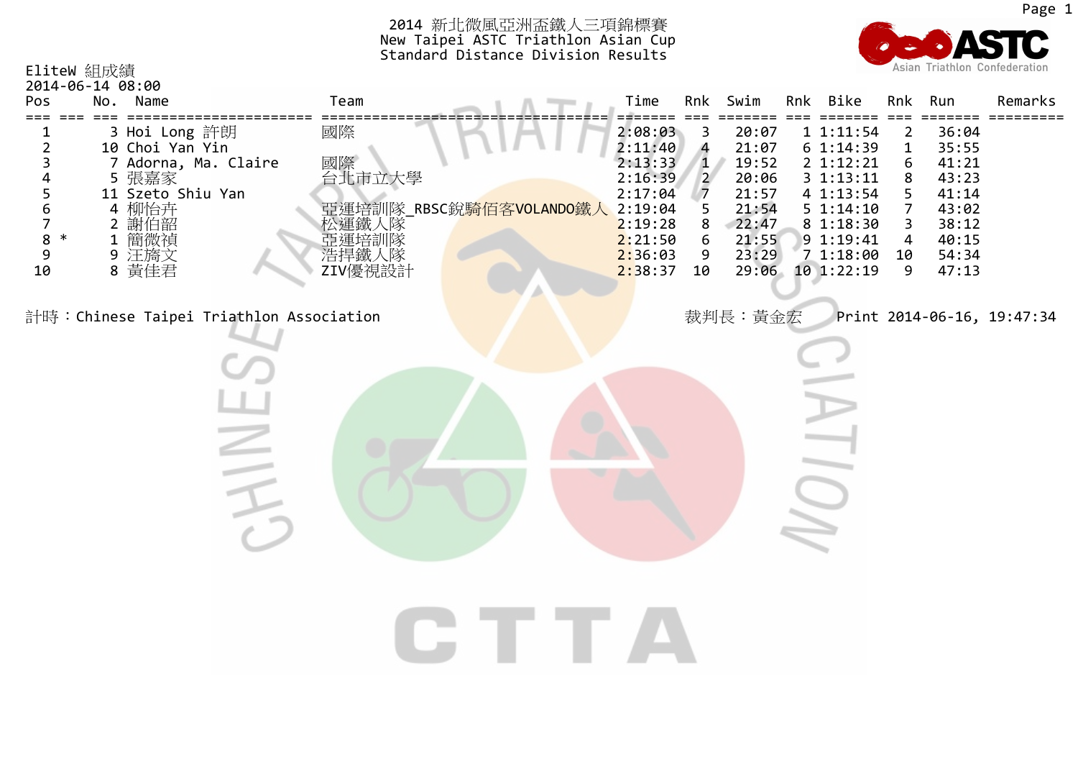| EliteW 組成績                       |                                                                                                             |                                                                 |                                                                     | <b>PER THE MANUAL AND LINE AND LINE AND LINE AND LINE ASSESS</b><br>New Taipei ASTC Triathlon Asian Cup<br>Standard Distance Division Results |                                                                                                            |                                                                           |                                                                                          |                                                                                                                                     |                                                       | Asian Triathlon Confederation                                                          |                                    |
|----------------------------------|-------------------------------------------------------------------------------------------------------------|-----------------------------------------------------------------|---------------------------------------------------------------------|-----------------------------------------------------------------------------------------------------------------------------------------------|------------------------------------------------------------------------------------------------------------|---------------------------------------------------------------------------|------------------------------------------------------------------------------------------|-------------------------------------------------------------------------------------------------------------------------------------|-------------------------------------------------------|----------------------------------------------------------------------------------------|------------------------------------|
| 2014-06-14 08:00<br>Pos          | No. Name                                                                                                    |                                                                 | Team                                                                |                                                                                                                                               | Time                                                                                                       | Rnk                                                                       | Swim                                                                                     | Rnk Bike                                                                                                                            |                                                       | Rnk Run                                                                                | Remarks                            |
| 2<br>5<br>6<br>7<br>8<br>9<br>10 | 3 Hoi Long 許朗<br>10 Choi Yan Yin<br>5 張嘉家<br>11 Szeto Shiu Yan<br>4 柳怡卉<br>2 謝伯韶<br>1 簡微禎<br>9 汪旖文<br>8 黃佳君 | 7 Adorna, Ma. Claire<br>計時:Chinese Taipei Triathlon Association | 國際<br>國際<br>台北市立大學<br> 松蓮雄培園 <br> 松田の子の<br> 佐藤太郎<br> 佐藤太郎 <br> 佐藤太郎 | 亞運培訓隊_RBSC銳 <mark>騎佰客VOLANDO鐵人</mark>                                                                                                         | 2:08:03<br>2:11:40<br>2:13:33<br>2:16:39<br>2:17:04<br>2:19:04<br>2:19:28<br>2:21:50<br>2:36:03<br>2:38:37 | 3<br>4<br>1<br>$\overline{2}$<br>$\overline{7}$<br>5<br>8<br>6<br>9<br>10 | 20:07<br>21:07<br>19:52<br>20:06<br>21:57<br>21:54<br>22:47<br>21:55<br>23:29<br>裁判長:黃金宏 | 1 1:11:54<br>6 1:14:39<br>2 1:12:21<br>3 1:13:11<br>4 1:13:54<br>51:14:10<br>8 1:18:30<br>9 1:19:41<br>71:18:00<br>29:06 10 1:22:19 | 2<br>$\mathbf{1}$<br>6<br>8<br>7<br>3<br>4<br>10<br>9 | 36:04<br>35:55<br>41:21<br>43:23<br>41:14<br>43:02<br>38:12<br>40:15<br>54:34<br>47:13 | ====<br>Print 2014-06-16, 19:47:34 |
|                                  |                                                                                                             |                                                                 |                                                                     |                                                                                                                                               |                                                                                                            |                                                                           |                                                                                          |                                                                                                                                     |                                                       |                                                                                        |                                    |

2014 新北微風亞洲盃鐵人三項錦標賽

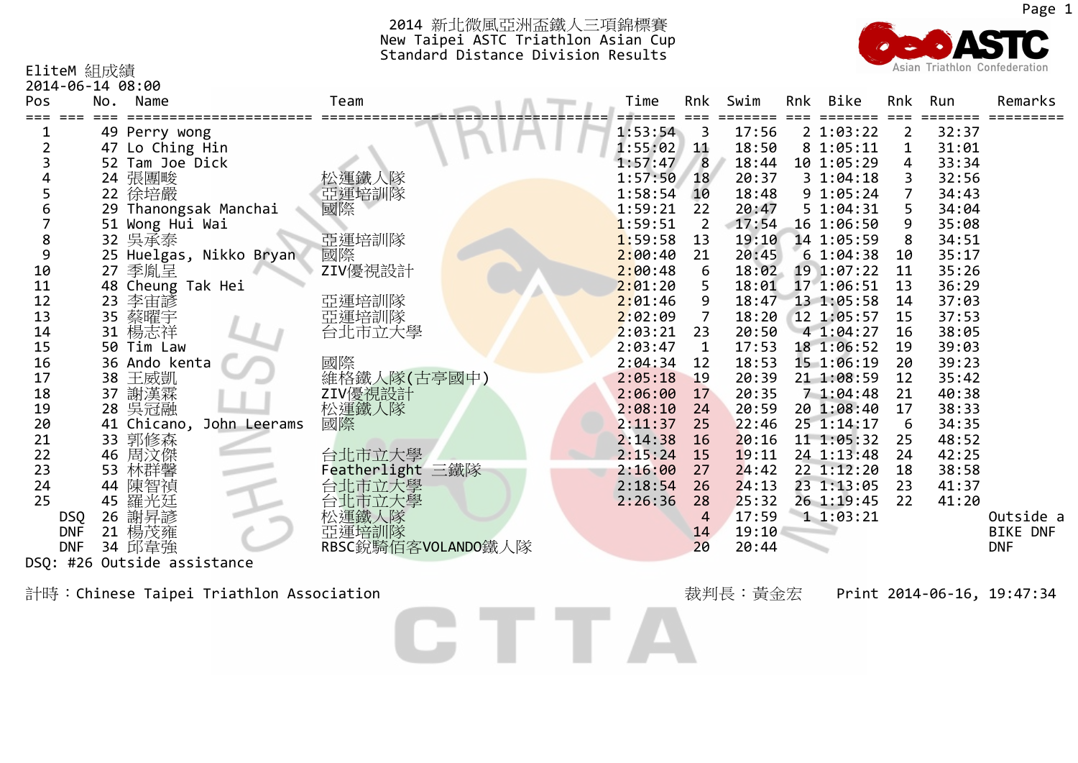

EliteM 組成績

2014‐06‐14 08:00

| 2014-00-14 00.00<br>Pos | No. | Name                     | Team               | Time    | Rnk            | Swim  | Rnk | Bike           | Rnk         | Run   | Remarks         |
|-------------------------|-----|--------------------------|--------------------|---------|----------------|-------|-----|----------------|-------------|-------|-----------------|
|                         |     |                          |                    |         |                |       |     |                |             |       |                 |
|                         |     | 49 Perry wong            |                    | 1:53:54 | 3              | 17:56 |     | 2 1:03:22      | 2           | 32:37 |                 |
|                         |     | 47 Lo Ching Hin          |                    | 1:55:02 | 11             | 18:50 |     | 8 1:05:11      | $\mathbf 1$ | 31:01 |                 |
|                         |     | 52 Tam Joe Dick          |                    | 1:57:47 | 8              | 18:44 |     | 10 1:05:29     | 4           | 33:34 |                 |
|                         |     | 24 張團畯                   | 松運鐵人隊              | 1:57:50 | 18             | 20:37 |     | 31:04:18       |             | 32:56 |                 |
| 5                       |     | 22 徐培嚴                   | 亞運培訓隊              | 1:58:54 | 10             | 18:48 |     | 9 1:05:24      |             | 34:43 |                 |
| 6                       |     | 29 Thanongsak Manchai    | 國際                 | 1:59:21 | 22             | 20:47 |     | 5 1:04:31      | 5           | 34:04 |                 |
|                         |     | 51 Wong Hui Wai          |                    | 1:59:51 | $\overline{2}$ | 17:54 |     | 16 1:06:50     | 9           | 35:08 |                 |
| 8                       |     | 32 吳承泰                   | 亞運培訓隊              | 1:59:58 | 13             | 19:10 |     | 14 1:05:59     | 8           | 34:51 |                 |
| 9                       |     | 25 Huelgas, Nikko Bryan  | 國際                 | 2:00:40 | 21             | 20:45 |     | 61:04:38       | 10          | 35:17 |                 |
| 10                      |     | 27 季胤呈                   | ZIV優視設計            | 2:00:48 | 6              | 18:02 |     | 19 1:07:22     | 11          | 35:26 |                 |
| 11                      |     | 48 Cheung Tak Hei        |                    | 2:01:20 | 5.             | 18:01 |     | 17 1:06:51     | 13          | 36:29 |                 |
| 12                      | 23  | 李宙諺                      | 亞運培訓隊              | 2:01:46 | 9              | 18:47 |     | 13 1:05:58     | 14          | 37:03 |                 |
| 13                      |     | 35 蔡曜宇                   | 亞運培訓隊              | 2:02:09 |                | 18:20 |     | 12 1:05:57     | 15          | 37:53 |                 |
| 14                      |     | 31 楊志祥                   | 台北市立大學             | 2:03:21 | 23             | 20:50 |     | 4 1:04:27      | 16          | 38:05 |                 |
| 15                      |     | 50 Tim Law               |                    | 2:03:47 | $\mathbf{1}$   | 17:53 |     | 18 1:06:52     | 19          | 39:03 |                 |
| 16                      |     | 36 Ando kenta            | 國際                 | 2:04:34 | 12             | 18:53 |     | 15 1:06:19     | 20          | 39:23 |                 |
| 17                      |     | 38 王威凱                   | 維格鐵人隊(古亭國中)        | 2:05:18 | 19             | 20:39 |     | 21 1:08:59     | 12          | 35:42 |                 |
| 18                      | 37  | 謝漢霖                      | ZIV優視設計            | 2:06:00 | 17             | 20:35 |     | 71:04:48       | 21          | 40:38 |                 |
| 19                      |     | 28 吳冠融                   | 松運鐵人隊              | 2:08:10 | 24             | 20:59 |     | 20 1:08:40     | 17          | 38:33 |                 |
| 20                      |     | 41 Chicano, John Leerams | 國際                 | 2:11:37 | 25             | 22:46 |     | $25 \t1:14:17$ | 6           | 34:35 |                 |
| 21                      |     | 33 郭修森                   |                    | 2:14:38 | 16             | 20:16 |     | 11 1:05:32     | 25          | 48:52 |                 |
| 22                      | 46  | 周汶傑                      | 台北市立大學             | 2:15:24 | 15             | 19:11 |     | 24 1:13:48     | 24          | 42:25 |                 |
| 23                      | 53  | 林群馨                      | Featherlight 三鐵隊   | 2:16:00 | 27             | 24:42 |     | 22 1:12:20     | 18          | 38:58 |                 |
| 24                      | 44  | 陳智禎                      | 台北市立大學             | 2:18:54 | 26             | 24:13 |     | 23 1:13:05     | 23          | 41:37 |                 |
| 25                      | 45  | 羅光廷                      | 台北市立大學             | 2:26:36 | 28             | 25:32 |     | 26 1:19:45     | 22          | 41:20 |                 |
| <b>DSQ</b>              | 26  | 謝昇諺                      | 松運鐵人隊              |         | 4              | 17:59 |     | 11:03:21       |             |       | Outside a       |
| <b>DNF</b>              |     | 21 楊茂雍                   | 亞運培訓隊              |         | 14             | 19:10 |     |                |             |       | <b>BIKE DNF</b> |
| <b>DNF</b>              |     | 34 邱韋強                   | RBSC銳騎佰客VOLANDO鐵人隊 |         | 20             | 20:44 |     |                |             |       | <b>DNF</b>      |
| DSQ: #26                |     | Outside assistance       |                    |         |                |       |     |                |             |       |                 |

CTTA

計時:Chinese Taipei Triathlon Association またままではないのは、おかしているのは、おかしているのは、または、2014-06-16, 19:47:34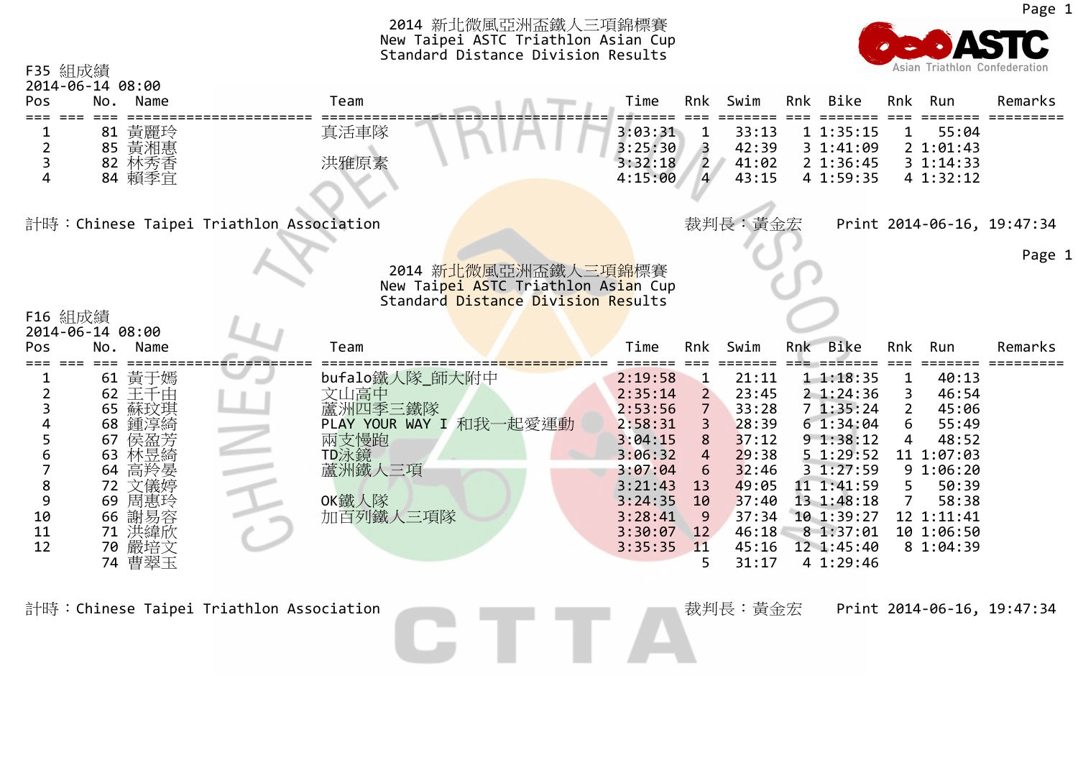| F35 組成績             | 2014-06-14 08:00                                                                                                                                                   |                                                                                                             | 2014 新北微風亞洲盃鐵人三項錦標賽<br>New Taipei ASTC Triathlon Asian Cup<br>Standard Distance Division Results                                 |                                                                                                     |                                                                                                                   |     |                                                                                                                                                                        |                                              | Asian Triathlon Confederation                                                                                                  |                            |
|---------------------|--------------------------------------------------------------------------------------------------------------------------------------------------------------------|-------------------------------------------------------------------------------------------------------------|----------------------------------------------------------------------------------------------------------------------------------|-----------------------------------------------------------------------------------------------------|-------------------------------------------------------------------------------------------------------------------|-----|------------------------------------------------------------------------------------------------------------------------------------------------------------------------|----------------------------------------------|--------------------------------------------------------------------------------------------------------------------------------|----------------------------|
| Pos                 | Name<br>No.                                                                                                                                                        | Team                                                                                                        | Time                                                                                                                             | Rnk                                                                                                 | Swim                                                                                                              | Rnk | Bike                                                                                                                                                                   | Rnk                                          | Run                                                                                                                            | Remarks                    |
|                     | 黃麗玲<br>81<br>85 黃湘惠<br>82 林秀香<br>84 賴季宜                                                                                                                            | 真活車隊<br>洪雅原素                                                                                                | 3:03:31<br>3:25:30<br>3:32:18<br>4:15:00                                                                                         | $\mathbf 1$<br>$\overline{3}$<br>$\overline{2}$<br>$\overline{4}$                                   | 33:13<br>42:39<br>41:02<br>43:15                                                                                  |     | 11:35:15<br>3 1:41:09<br>2 1:36:45<br>4 1:59:35                                                                                                                        | 1                                            | 55:04<br>2 1:01:43<br>31:14:33<br>4 1:32:12                                                                                    |                            |
|                     |                                                                                                                                                                    | 計時:Chinese Taipei Triathlon Association                                                                     |                                                                                                                                  |                                                                                                     | 裁判長:黃金宏                                                                                                           |     |                                                                                                                                                                        |                                              |                                                                                                                                | Print 2014-06-16, 19:47:34 |
| F16 組成績             | 2014-06-14 08:00                                                                                                                                                   |                                                                                                             | 2014 新北微風亞洲盃鐵人三項錦標賽<br>New Taipei ASTC Triathlon Asian Cup<br>Standard Distance Division Results                                 |                                                                                                     |                                                                                                                   |     |                                                                                                                                                                        |                                              |                                                                                                                                | Page 1                     |
| Pos                 | No.<br>Name                                                                                                                                                        | Team                                                                                                        | Time                                                                                                                             | Rnk                                                                                                 | Swim                                                                                                              |     | Rnk Bike                                                                                                                                                               | Rnk                                          | Run                                                                                                                            | Remarks                    |
| 9<br>10<br>11<br>12 | 黃于嫣<br>61<br>王千由<br>62<br>65 蘇玟琪<br>鍾淳綺<br>68<br>侯盈芳<br>67<br>林昱綺<br>63<br>高羚晏<br>64<br>文儀婷<br>72<br>周惠玲<br>69<br>謝易容<br>66<br>洪緯欣<br>71<br>嚴培文<br>70<br>曹翠玉<br>74 | bufalo鐵人隊_師大附中<br>文山高中<br>蘆洲四季三鐵隊<br>PLAY YOUR WAY I 和我一起愛運動<br>兩支慢跑<br>TD泳鏡<br>蘆洲鐵人三項<br>OK鐵人隊<br>加百列鐵人三項隊 | 2:19:58<br>2:35:14<br>2:53:56<br>2:58:31<br>3:04:15<br>3:06:32<br>3:07:04<br>3:21:43<br>3:24:35<br>3:28:41<br>3:30:07<br>3:35:35 | $\mathbf{1}$<br>$2^{\circ}$<br>$\overline{7}$<br>3<br>8<br>4<br>6<br>13<br>10<br>9<br>12<br>11<br>5 | 21:11<br>23:45<br>33:28<br>28:39<br>37:12<br>29:38<br>32:46<br>49:05<br>37:40<br>37:34<br>46:18<br>45:16<br>31:17 |     | 11:18:35<br>2 1:24:36<br>71:35:24<br>61:34:04<br>9 1:38:12<br>5 1:29:52<br>3 1:27:59<br>11 1:41:59<br>13 1:48:18<br>10 1:39:27<br>8 1:37:01<br>12 1:45:40<br>4 1:29:46 | 1<br>3<br>$\overline{2}$<br>6<br>4<br>5<br>7 | 40:13<br>46:54<br>45:06<br>55:49<br>48:52<br>11 1:07:03<br>91:06:20<br>50:39<br>58:38<br>12 1:11:41<br>10 1:06:50<br>8 1:04:39 |                            |

計時:Chinese Taipei Triathlon Association and the chinese Taipei Triathlon Association and the chinese Taipei Triathlon Association and the chinese Taipei Triathlon Association and the chinese Taipei Triathlon Association a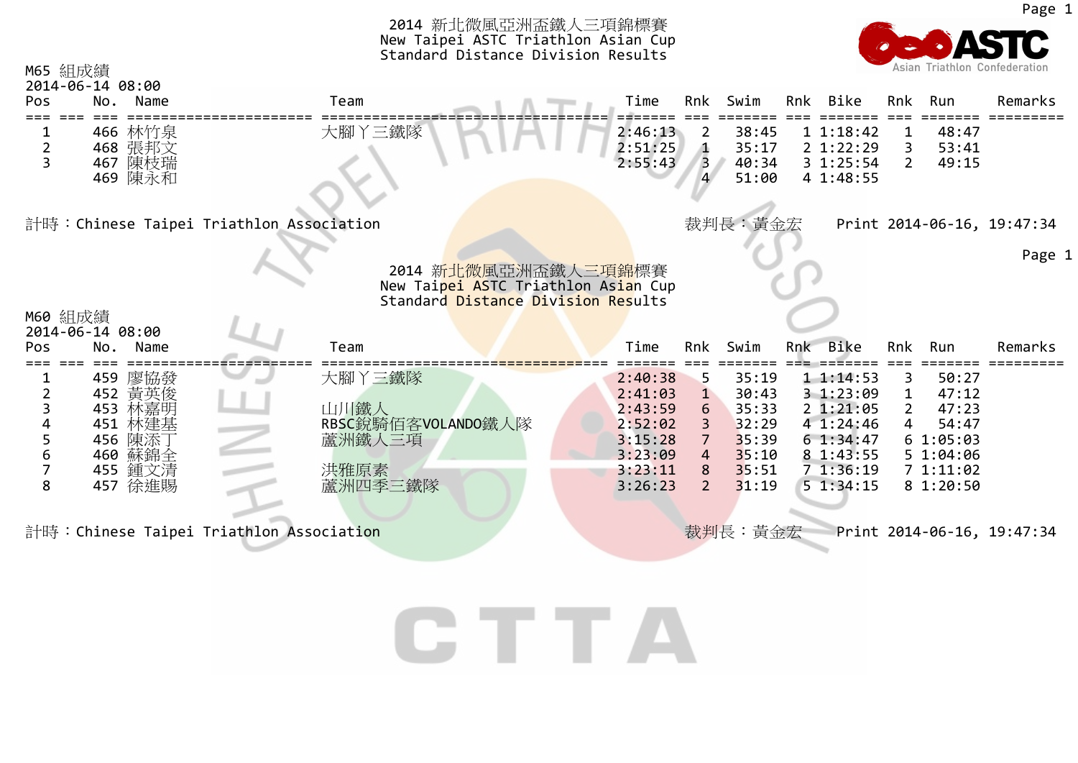|                    |                                                                                            | 2014 新北微風亞洲盃鐵人三項錦標賽<br>New Taipei ASTC Triathlon Asian Cup<br>Standard Distance Division Results |                                                                                      |                                                               |                                                                      |     |                                                                                                 |                                 |                                                                                   |                                          |
|--------------------|--------------------------------------------------------------------------------------------|--------------------------------------------------------------------------------------------------|--------------------------------------------------------------------------------------|---------------------------------------------------------------|----------------------------------------------------------------------|-----|-------------------------------------------------------------------------------------------------|---------------------------------|-----------------------------------------------------------------------------------|------------------------------------------|
| M65 組成績<br>Pos     | 2014-06-14 08:00<br>No.<br>Name                                                            | Team                                                                                             | Time                                                                                 | Rnk                                                           | Swim                                                                 | Rnk | Bike                                                                                            | Rnk                             | Run                                                                               | Asian Triathlon Confederation<br>Remarks |
| ı<br>$\frac{2}{3}$ | 466 林竹泉<br>468 張邦文<br>467 陳枝瑞<br>469 陳永和                                                   | 大腳丫三鐵隊                                                                                           | 2:46:13<br>2:51:25<br>2:55:43                                                        | $\overline{2}$<br>Δ<br>$\overline{3}$                         | 38:45<br>35:17<br>40:34<br>51:00                                     |     | 11:18:42<br>2 1:22:29<br>31:25:54<br>4 1:48:55                                                  | 1<br>$\mathbf{2}$               | 48:47<br>53:41<br>49:15                                                           |                                          |
|                    |                                                                                            | 計時:Chinese Taipei Triathlon Association                                                          |                                                                                      |                                                               | 裁判長:黃金宏                                                              |     |                                                                                                 |                                 |                                                                                   | Print 2014-06-16, 19:47:34               |
| M60 組成績            | 2014-06-14 08:00                                                                           | 2014 新北微風亞洲盃鐵人三項錦標賽<br>New Taipei ASTC Triathlon Asian Cup<br>Standard Distance Division Results |                                                                                      |                                                               |                                                                      |     |                                                                                                 |                                 |                                                                                   | Page 1                                   |
| Pos                | No.<br>Name                                                                                | Team                                                                                             | Time                                                                                 | Rnk                                                           | Swim                                                                 |     | Rnk Bike                                                                                        | Rnk                             | Run                                                                               | Remarks                                  |
| 8                  | 459 廖協發<br>452 黄英俊<br>453 林嘉明<br>451<br>林建基<br>陳添丁<br>456<br>460 蘇錦全<br>455 鍾文清<br>457 徐進賜 | 大腳丫三鐵隊<br>山川鐵人<br>RBSC銳騎佰客VOLANDO鐵人隊<br>蘆洲鐵人三項<br>洪雅原素<br>蘆洲四季三鐵隊                                | 2:40:38<br>2:41:03<br>2:43:59<br>2:52:02<br>3:15:28<br>3:23:09<br>3:23:11<br>3:26:23 | 5<br>1<br>6<br>3<br>$\overline{7}$<br>4<br>8<br>$\mathcal{P}$ | 35:19<br>30:43<br>35:33<br>32:29<br>35:39<br>35:10<br>35:51<br>31:19 |     | 11:14:53<br>3 1:23:09<br>21:21:05<br>4 1:24:46<br>61:34:47<br>8 1:43:55<br>71:36:19<br>51:34:15 | 3<br>$\mathbf{2}^{\prime}$<br>4 | 50:27<br>47:12<br>47:23<br>54:47<br>61:05:03<br>5 1:04:06<br>71:11:02<br>81:20:50 |                                          |
|                    |                                                                                            | 計時: Chinese Taipei Triathlon Association                                                         |                                                                                      |                                                               | 裁判長:黃金宏                                                              |     |                                                                                                 |                                 |                                                                                   | Print 2014-06-16, 19:47:34               |

CTTA

Page 1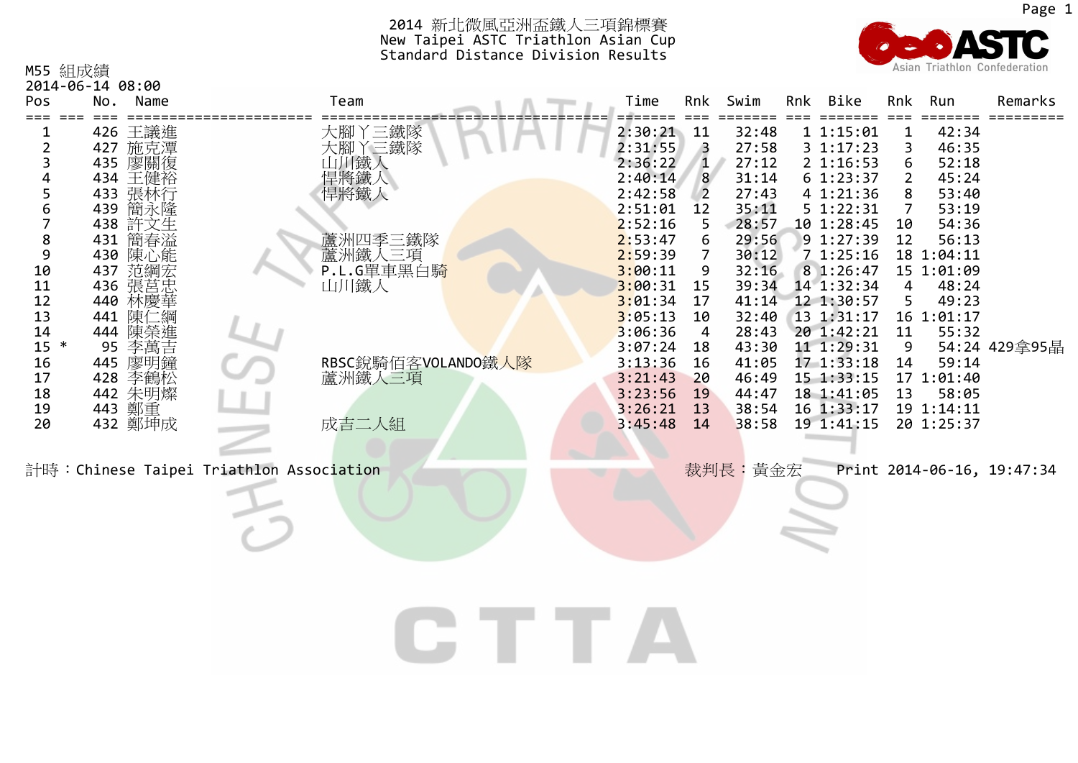

| M55 組成績<br>2014-06-14 08:00                                                                                                                                                     |                                                                                                                                                                           |                                                                                                          |  |                                                                                                                                                                                                                          |                                                                                                                      |                                                                                                                                                                                  |                                                                                                                                                                                                                                                                          |                                                               | Asian Triathlon Confederation                                                                                                                                                                         |                            |
|---------------------------------------------------------------------------------------------------------------------------------------------------------------------------------|---------------------------------------------------------------------------------------------------------------------------------------------------------------------------|----------------------------------------------------------------------------------------------------------|--|--------------------------------------------------------------------------------------------------------------------------------------------------------------------------------------------------------------------------|----------------------------------------------------------------------------------------------------------------------|----------------------------------------------------------------------------------------------------------------------------------------------------------------------------------|--------------------------------------------------------------------------------------------------------------------------------------------------------------------------------------------------------------------------------------------------------------------------|---------------------------------------------------------------|-------------------------------------------------------------------------------------------------------------------------------------------------------------------------------------------------------|----------------------------|
| Pos                                                                                                                                                                             | No. Name                                                                                                                                                                  | Team                                                                                                     |  | Time                                                                                                                                                                                                                     | Rnk                                                                                                                  | Swim                                                                                                                                                                             | Rnk Bike                                                                                                                                                                                                                                                                 | Rnk                                                           | Run                                                                                                                                                                                                   | Remarks                    |
| $\overline{2}$<br>3<br>4<br>5<br>6<br>$\bf 8$<br>431<br>9<br>10<br>437<br>11<br>436<br>12<br>440<br>13<br>441<br>14<br>444<br>$15 *$<br>95<br>16<br>445<br>17<br>18<br>19<br>20 | 426 王議進<br>427 施克潭<br>435 廖關復<br>434 王健裕<br>433 張林行<br>439 簡永隆<br>438 許文生<br>簡春溢<br>430 陳心能<br>范彌莒華<br>陳仁<br>陳榮進<br>李萬吉<br>廖明鐘<br>428 李鶴松<br>442 朱明燦<br>443 鄭重<br>432 鄭坤成 | 山川鐵人<br>悍將鐵人<br>悍將鐵人<br>蘆洲四季三鐵隊<br>蘆洲鐵人三項<br>P.L.G單車黑白騎<br>山川鐵人<br>RBSC銳騎佰客VOLANDO鐵人隊<br>蘆洲鐵人三項<br>成吉二人組 |  | 2:30:21<br>2:31:55<br>2:36:22<br>2:40:14<br>2:42:58<br>2:51:01<br>2:52:16<br>2:53:47<br>2:59:39<br>3:00:11<br>3:00:31<br>3:01:34<br>3:05:13<br>3:06:36<br>3:07:24<br>3:13:36<br>3:21:43<br>3:23:56<br>3:26:21<br>3:45:48 | 11<br>3<br>$\mathbf{1}$<br>8<br>$\overline{2}$<br>12<br>9<br>15<br>17<br>10<br>4<br>18<br>16<br>20<br>19<br>13<br>14 | 32:48<br>27:58<br>27:12<br>31:14<br>27:43<br>35:11<br>28:57<br>29:56<br>30:12<br>32:16<br>39:34<br>41:14<br>32:40<br>28:43<br>43:30<br>41:05<br>46:49<br>44:47<br>38:54<br>38:58 | 11:15:01<br>3 1:17:23<br>2 1:16:53<br>61:23:37<br>4 1:21:36<br>5 1:22:31<br>10 1:28:45<br>9 1:27:39<br>71:25:16<br>8 1:26:47<br>14 1:32:34<br>12 1:30:57<br>13 1:31:17<br>20 1:42:21<br>11 1:29:31<br>17 1:33:18<br>15 1:33:15<br>18 1:41:05<br>16 1:33:17<br>19 1:41:15 | 3<br>6<br>2<br>7<br>10<br>12<br>4<br>5<br>11<br>9<br>14<br>13 | 42:34<br>46:35<br>52:18<br>45:24<br>53:40<br>53:19<br>54:36<br>56:13<br>18 1:04:11<br>15 1:01:09<br>48:24<br>49:23<br>16 1:01:17<br>55:32<br>59:14<br>17 1:01:40<br>58:05<br>19 1:14:11<br>20 1:25:37 | 54:24 429拿95晶              |
| 計時: Chinese Taipei Triathlon Association                                                                                                                                        |                                                                                                                                                                           |                                                                                                          |  |                                                                                                                                                                                                                          |                                                                                                                      | 裁判長: 黃金宏                                                                                                                                                                         |                                                                                                                                                                                                                                                                          |                                                               |                                                                                                                                                                                                       | Print 2014-06-16, 19:47:34 |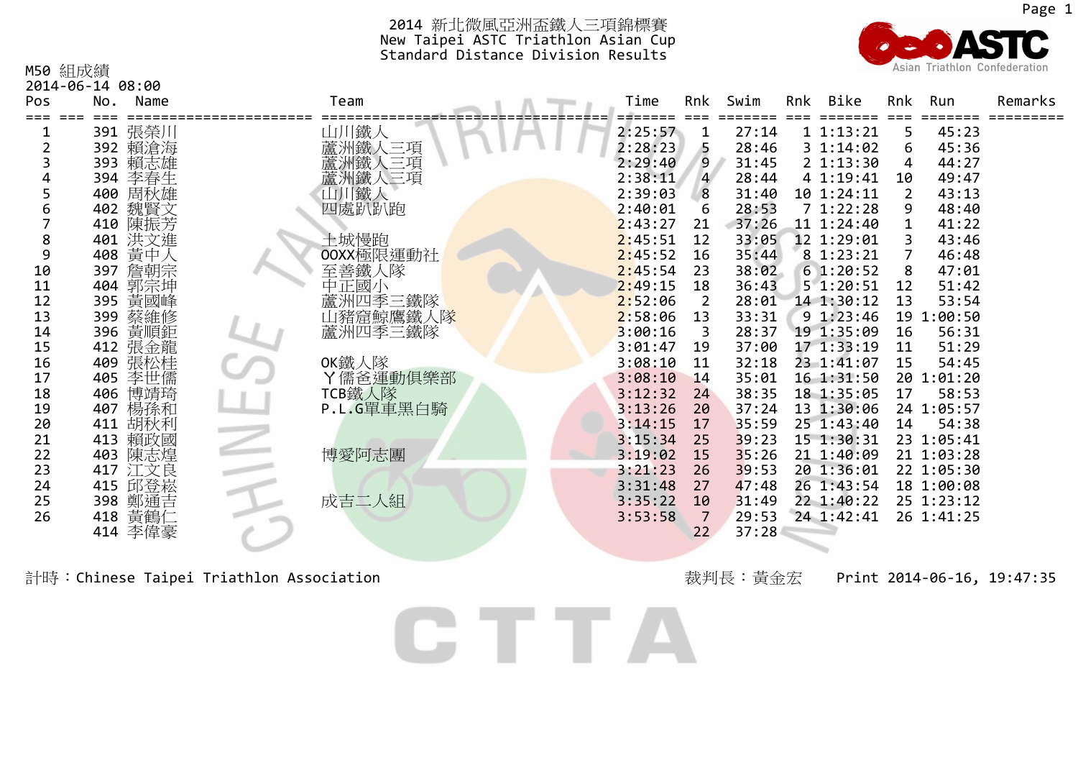

| M50 組成績        |                    |               |         |                |       |     |            |                | Asian Triathlon Confederation |         |
|----------------|--------------------|---------------|---------|----------------|-------|-----|------------|----------------|-------------------------------|---------|
|                | 2014-06-14 08:00   |               |         |                |       |     |            |                |                               |         |
| Pos            | No.<br>Name        | Team          | Time    | Rnk            | Swim  | Rnk | Bike       | Rnk            | Run                           | Remarks |
|                | 391 張榮川            | 山川鐵人          | 2:25:57 | ı              | 27:14 |     | 11:13:21   | 5              | 45:23                         |         |
| $\overline{2}$ | 392 賴滄海            | 蘆洲鐵人三項        | 2:28:23 | 5              | 28:46 |     | 3 1:14:02  | 6              | 45:36                         |         |
|                | 393 賴志雄            | 蠶洲鐵人<br>三項    | 2:29:40 | 9              | 31:45 |     | 2 1:13:30  | 4              | 44:27                         |         |
|                | 394 李春生            | 蘆洲鐵人三項        | 2:38:11 | $\overline{4}$ | 28:44 |     | 4 1:19:41  | 10             | 49:47                         |         |
|                | 400 周秋雄            | 山川鐵人          | 2:39:03 | 8              | 31:40 |     | 10 1:24:11 | $\overline{2}$ | 43:13                         |         |
| 6              | 402 魏賢文            | 四處趴趴跑         | 2:40:01 | 6              | 28:53 |     | 71:22:28   | 9              | 48:40                         |         |
|                | 410 陳振芳            |               | 2:43:27 | 21             | 37:26 |     | 11 1:24:40 |                | 41:22                         |         |
| 8              | 401 洪文進            | 土城慢跑          | 2:45:51 | 12             | 33:05 |     | 12 1:29:01 |                | 43:46                         |         |
| 9              | 408 黄中人            | OOXX極限運動社     | 2:45:52 | 16             | 35:44 |     | 8 1:23:21  | 7              | 46:48                         |         |
| 10             | 397 詹朝宗            | 至善鐵人隊         | 2:45:54 | 23             | 38:02 |     | 61:20:52   | 8              | 47:01                         |         |
| 11             | 404 郭宗坤            | 中正國小          | 2:49:15 | 18             | 36:43 |     | 51:20:51   | 12             | 51:42                         |         |
| 12             | 395 黃國峰            | 蘆洲四季三鐵隊       | 2:52:06 | 2              | 28:01 |     | 14 1:30:12 | 13             | 53:54                         |         |
| 13             | 399 蔡維修<br>396 黃順鉅 | 山豬窟鯨鷹鐵人隊      | 2:58:06 | 13             | 33:31 |     | 9 1:23:46  | 19             | 1:00:50                       |         |
| 14             |                    | 蘆洲四季三鐵隊       | 3:00:16 | 3              | 28:37 |     | 19 1:35:09 | 16             | 56:31                         |         |
| 15             | 412 張金龍            |               | 3:01:47 | 19             | 37:00 |     | 17 1:33:19 | 11             | 51:29                         |         |
| 16             | 409 張松桂            | OK鐵人隊         | 3:08:10 | 11             | 32:18 |     | 23 1:41:07 | 15             | 54:45                         |         |
| 17             | 405 李世儒            | Y儒爸運動俱樂部      | 3:08:10 | 14             | 35:01 |     | 16 1:31:50 |                | 20 1:01:20                    |         |
| 18             | 406 博靖琦            | <b>TCB鐵人隊</b> | 3:12:32 | 24             | 38:35 |     | 18 1:35:05 | 17             | 58:53                         |         |
| 19             | 407 楊孫和            | P.L.G單車黑白騎    | 3:13:26 | 20             | 37:24 |     | 13 1:30:06 |                | 24 1:05:57                    |         |
| 20             | 411 胡秋利            |               | 3:14:15 | 17             | 35:59 |     | 25 1:43:40 | 14             | 54:38                         |         |
| 21             | 413 賴政國            |               | 3:15:34 | 25             | 39:23 |     | 15 1:30:31 |                | 23 1:05:41                    |         |
| 22             | 403 陳志煌            | 博愛阿志團         | 3:19:02 | 15             | 35:26 |     | 21 1:40:09 |                | 21 1:03:28                    |         |
| 23             | 417 江文良            |               | 3:21:23 | 26             | 39:53 |     | 20 1:36:01 |                | 22 1:05:30                    |         |
| 24             | 415 邱登崧            |               | 3:31:48 | 27             | 47:48 |     | 26 1:43:54 |                | 18 1:00:08                    |         |
| 25             | 398 鄭通吉            | 成吉二人組         | 3:35:22 | 10             | 31:49 |     | 22 1:40:22 |                | 25 1:23:12                    |         |
| 26             | 418 黃鶴仁            |               | 3:53:58 | 7              | 29:53 |     | 24 1:42:41 |                | 26 1:41:25                    |         |
|                | 414 李偉豪            |               |         | 22             | 37:28 |     |            |                |                               |         |
|                |                    |               |         |                |       |     |            |                |                               |         |

計時:Chinese Taipei Triathlon Association またままではないのだけでは、おかしている。 おかりのない おかり きょうしょう Print 2014-06-16, 19:47:35

CTTA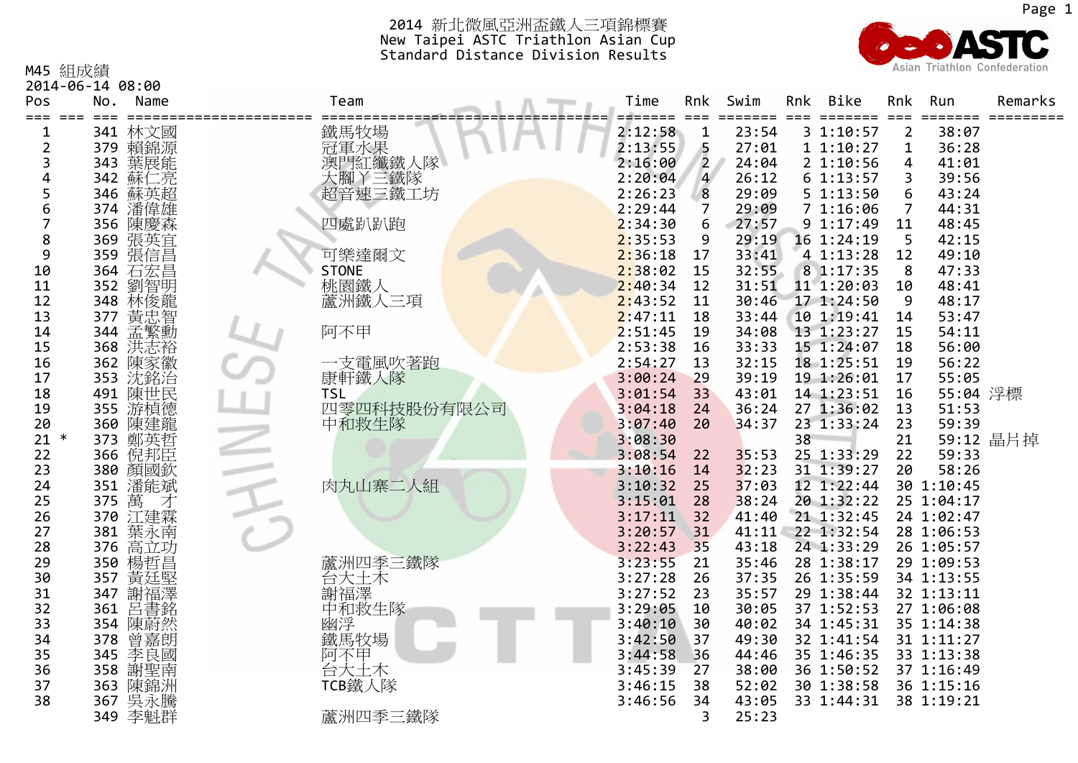

|                | 2014-06-14 08:00   |                    |         |                |       |     |                  |                |            |           |
|----------------|--------------------|--------------------|---------|----------------|-------|-----|------------------|----------------|------------|-----------|
| Pos            | No.<br>Name        | Team               | Time    | Rnk            | Swim  | Rnk | Bike             | Rnk            | Run        | Remarks   |
|                |                    |                    |         |                |       |     |                  |                |            |           |
| 1              | 341 林文國<br>379 賴錦源 | 鐵馬牧場<br>冠軍水果       | 2:12:58 | $\mathbf{1}$   | 23:54 |     | 31:10:57         | $\overline{2}$ | 38:07      |           |
| $\overline{2}$ |                    |                    | 2:13:55 | 5              | 27:01 |     | 11:10:27         | 1              | 36:28      |           |
| 3              | 葉展能<br>343         | 澳門紅纖鐵人隊            | 2:16:00 | $\overline{2}$ | 24:04 |     | 21:10:56         | 4              | 41:01      |           |
| 4              | 342 蘇仁亮            | 大腳丫三鐵隊             | 2:20:04 | $\overline{a}$ | 26:12 |     | 61:13:57         | 3              | 39:56      |           |
| 5              | 346<br>蘇英超         | 超音速三鐵工坊            | 2:26:23 | 8              | 29:09 |     | 51:13:50         | 6              | 43:24      |           |
| 6              | 潘偉雄<br>374         |                    | 2:29:44 | 7              | 29:09 |     | 71:16:06         | $\overline{7}$ | 44:31      |           |
| 7              | 陳慶森<br>356         | 四處趴趴跑              | 2:34:30 | 6              | 27:57 |     | 9 1:17:49        | 11             | 48:45      |           |
| 8              | 369 張英宜            |                    | 2:35:53 | 9              | 29:19 |     | 16 1:24:19       | 5              | 42:15      |           |
| 9              | 張信昌<br>359         | 可樂達爾文              | 2:36:18 | 17             | 33:41 |     | 4 1:13:28        | 12             | 49:10      |           |
| 10             | 364<br>石宏昌         | <b>STONE</b>       | 2:38:02 | 15             | 32:55 |     | 8 1:17:35        | 8              | 47:33      |           |
| 11             | 劉智明<br>352         | 桃園鐵人               | 2:40:34 | 12             | 31:51 |     | 11 1:20:03       | 10             | 48:41      |           |
| 12             | 348 林俊龍            | 蘆洲鐵人三項             | 2:43:52 | 11             | 30:46 |     | 17 1:24:50       | -9             | 48:17      |           |
| 13             | 黃忠智<br>377         |                    | 2:47:11 | 18             | 33:44 |     | 10 1:19:41       | 14             | 53:47      |           |
| 14             |                    | 阿不甲                | 2:51:45 | 19             | 34:08 |     | 13 1:23:27       | 15             | 54:11      |           |
| 15             | 344 孟繁勳<br>368 洪志裕 |                    | 2:53:38 | 16             | 33:33 |     | 15 1:24:07       | 18             | 56:00      |           |
| 16             | 362 陳家徽            | 一支電風吹著跑            | 2:54:27 | 13             | 32:15 |     | 18 1:25:51       | 19             | 56:22      |           |
| 17             | 353 沈銘治            | 康軒鐵人隊              | 3:00:24 | 29             | 39:19 |     | 19 1:26:01       | 17             | 55:05      |           |
| 18             | 491 陳世民            | <b>TSL</b>         | 3:01:54 | 33             | 43:01 |     | 14 1:23:51       | 16             | 55:04 浮標   |           |
| 19             | 游楨德<br>355         | 四零四科技股份有限公司        | 3:04:18 | 24             | 36:24 |     | 27 1:36:02       | 13             | 51:53      |           |
| 20             | 陳建龍<br>360         | 中和救生隊              | 3:07:40 | 20             | 34:37 |     | 23 1:33:24       | 23             | 59:39      |           |
| 21<br>$\ast$   | 373 鄭英哲            |                    | 3:08:30 |                |       | 38  |                  | 21             |            | 59:12 晶片掉 |
| 22             | 366 倪邦臣            |                    | 3:08:54 | 22             | 35:53 |     | 25 1:33:29       | 22             | 59:33      |           |
| 23             |                    |                    | 3:10:16 | 14             | 32:23 |     | 31 1:39:27       | 20             | 58:26      |           |
| 24             | 380 顏國欽<br>351 潘能斌 | 肉丸山寨二人組            | 3:10:32 | 25             | 37:03 |     | 12 1:22:44       |                | 30 1:10:45 |           |
| 25             | 萬<br>375           |                    | 3:15:01 | 28             | 38:24 |     | 20 1:32:22       |                | 25 1:04:17 |           |
|                | 才                  |                    |         | 32             |       |     |                  |                |            |           |
| 26             | 370 江建霖            |                    | 3:17:11 |                | 41:40 |     | 21 1:32:45       |                | 24 1:02:47 |           |
| 27             | 381<br>葉永南         |                    | 3:20:57 | 31             |       |     | 41:11 22 1:32:54 |                | 28 1:06:53 |           |
| 28             | 高立功<br>376         |                    | 3:22:43 | 35             | 43:18 |     | 24 1:33:29       |                | 26 1:05:57 |           |
| 29             | 楊哲昌<br>350         | 蘆洲四季三鐵隊            | 3:23:55 | 21             | 35:46 |     | 28 1:38:17       |                | 29 1:09:53 |           |
| 30             | 黃廷堅<br>357         | 一分大<br>一个大<br>「谢福澤 | 3:27:28 | 26             | 37:35 |     | 26 1:35:59       |                | 34 1:13:55 |           |
| 31             | 謝福澤<br>347         |                    | 3:27:52 | 23             | 35:57 |     | 29 1:38:44       |                | 32 1:13:11 |           |
| 32             | 呂書銘<br>361         | 中和救生隊              | 3:29:05 | 10             | 30:05 |     | 37 1:52:53       |                | 27 1:06:08 |           |
| 33             | 354 陳蔚然            | 幽浮                 | 3:40:10 | 30             | 40:02 |     | 34 1:45:31       |                | 35 1:14:38 |           |
| 34             | 曾嘉朗<br>378         | 鐵馬牧場               | 3:42:50 | 37             | 49:30 |     | 32 1:41:54       |                | 31 1:11:27 |           |
| 35             | 345 李良國<br>358 謝聖南 | 阿不甲                | 3:44:58 | 36             | 44:46 |     | 35 1:46:35       |                | 33 1:13:38 |           |
| 36             |                    | 台大土木               | 3:45:39 | 27             | 38:00 |     | 36 1:50:52       |                | 37 1:16:49 |           |
| 37             | 363 陳錦洲<br>367 吳永騰 | TCB鐵人隊             | 3:46:15 | 38             | 52:02 |     | 30 1:38:58       |                | 36 1:15:16 |           |
| 38             |                    |                    | 3:46:56 | 34             | 43:05 |     | 33 1:44:31       |                | 38 1:19:21 |           |
|                | 349 李魁群            | 蘆洲四季三鐵隊            |         | 3              | 25:23 |     |                  |                |            |           |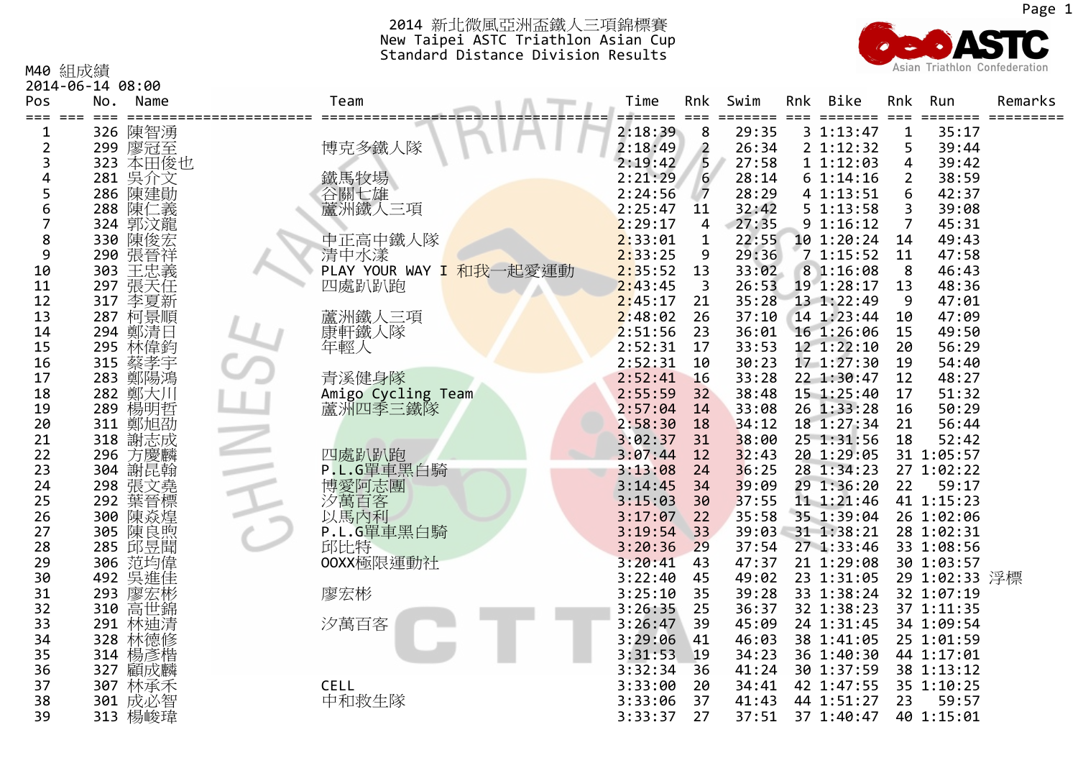

M40 組成績

2014‐06‐14 08:00

| Pos<br>$===$ | No. | Name               | Team                    | Time<br>$=$ $=$ $=$ $=$ | Rnk              | Swim  | Rnk | <b>Bike</b><br>======= | Rnk<br>$=$ $=$ $=$ | Run           | Remarks<br>===== |
|--------------|-----|--------------------|-------------------------|-------------------------|------------------|-------|-----|------------------------|--------------------|---------------|------------------|
| 1            | 326 | 陳智湧                |                         | 2:18:39                 | 8                | 29:35 |     | 3 1:13:47              | $\mathbf{1}$       | 35:17         |                  |
| 2            |     | 299 廖冠至            | 博克多鐵人隊                  | 2:18:49                 | $\overline{2}$   | 26:34 |     | 2 1:12:32              | 5                  | 39:44         |                  |
| 3            |     | 323 本田俊也           |                         | 2:19:42                 | 5                | 27:58 |     | 11:12:03               | 4                  | 39:42         |                  |
| 4            |     | 281 吳介文            | 鐵馬牧場                    | 2:21:29                 | $6 \overline{6}$ | 28:14 |     | 61:14:16               | 2                  | 38:59         |                  |
| 5            | 286 | 陳建勛                |                         | 2:24:56                 | $\overline{7}$   | 28:29 |     | 4 1:13:51              | 6                  | 42:37         |                  |
| 6            | 288 | 陳仁義                | 谷關七雄<br>蘆洲鐵人三項          | 2:25:47                 | 11               | 32:42 |     | 51:13:58               | 3                  | 39:08         |                  |
|              |     | 324 郭汶龍            |                         | 2:29:17                 | 4                | 27:35 |     | 9 1:16:12              | 7                  | 45:31         |                  |
| 8            | 330 | 陳俊宏                | 中正高中鐵人隊                 | 2:33:01                 | 1                | 22:55 |     | 10 1:20:24             | 14                 | 49:43         |                  |
| 9            | 290 | 張晉祥                | 清中水漾                    | 2:33:25                 | 9                | 29:36 |     | 71:15:52               | 11                 | 47:58         |                  |
| 10           |     |                    | PLAY YOUR WAY I 和我一起愛運動 | 2:35:52                 | 13               | 33:02 |     | 8 1:16:08              | 8                  | 46:43         |                  |
| 11           |     | 303 王忠義<br>297 張天任 | 四處趴趴跑                   | 2:43:45                 | 3                | 26:53 |     | 19 1:28:17             | 13                 | 48:36         |                  |
| 12           | 317 | 李夏新                |                         | 2:45:17                 | 21               | 35:28 |     | 13 1:22:49             | 9                  | 47:01         |                  |
| 13           |     | 287 柯景順            | 蘆洲鐵人三項                  | 2:48:02                 | 26               | 37:10 |     | 14 1:23:44             | 10                 | 47:09         |                  |
| 14           | 294 | 鄭清日                | 康軒鐵人隊                   | 2:51:56                 | 23               | 36:01 |     | 16 1:26:06             | 15                 | 49:50         |                  |
| 15           |     | 295 林偉鈞            | 年輕人                     | 2:52:31                 | 17               | 33:53 |     | 12 1:22:10             | 20                 | 56:29         |                  |
| 16           |     | 315 蔡孝宇<br>283 鄭陽鴻 |                         | 2:52:31                 | 10               | 30:23 |     | 17 1:27:30             | 19                 | 54:40         |                  |
| 17           |     |                    | 青溪健身隊                   | 2:52:41                 | 16               | 33:28 |     | 22 1:30:47             | 12                 | 48:27         |                  |
| 18           | 282 | 鄭大川                | Amigo Cycling Team      | 2:55:59                 | 32               | 38:48 |     | 15 1:25:40             | 17                 | 51:32         |                  |
| 19           |     | 289 楊明哲            | 蘆洲四季三鐵隊                 | 2:57:04                 | 14               | 33:08 |     | 26 1:33:28             | 16                 | 50:29         |                  |
| 20           | 311 | 鄭旭劭                |                         | 2:58:30                 | 18               | 34:12 |     | 18 1:27:34             | 21                 | 56:44         |                  |
| 21           | 318 | 謝志成                |                         | 3:02:37                 | 31               | 38:00 |     | 25 1:31:56             | 18                 | 52:42         |                  |
| 22           | 296 | 方慶麟                | 四處趴趴跑                   | 3:07:44                 | 12               | 32:43 |     | 20 1:29:05             |                    | 31 1:05:57    |                  |
| 23           | 304 | 謝昆翰                | P.L.G單車黑白騎              | 3:13:08                 | 24               | 36:25 |     | 28 1:34:23             |                    | 27 1:02:22    |                  |
| 24           | 298 | 張文堯                | 博愛阿志團                   | 3:14:45                 | 34               | 39:09 |     | 29 1:36:20             | 22                 | 59:17         |                  |
| 25           | 292 | 葉晉標                | 汐萬百客                    | 3:15:03                 | 30               | 37:55 |     | 11 1:21:46             |                    | 41 1:15:23    |                  |
| 26           | 300 | 陳焱煌<br>陳良煦         | 以馬內利                    | 3:17:07                 | 22               | 35:58 |     | 35 1:39:04             |                    | 26 1:02:06    |                  |
| 27           | 305 |                    | P.L.G單車黑白騎              | 3:19:54                 | 33               |       |     | 39:03 31 1:38:21       |                    | 28 1:02:31    |                  |
| 28           |     | 285 邱昱聞            | 邱比特                     | 3:20:36                 | 29               | 37:54 |     | 27 1:33:46             |                    | 33 1:08:56    |                  |
| 29           |     | 306 范均偉            | 00XX極限運動社               | 3:20:41                 | 43               | 47:37 |     | 21 1:29:08             |                    | 30 1:03:57    |                  |
| 30           |     | 492 吳進佳            |                         | 3:22:40                 | 45               | 49:02 |     | 23 1:31:05             |                    | 29 1:02:33 浮標 |                  |
| 31           | 293 | 廖宏彬                | 廖宏彬                     | 3:25:10                 | 35               | 39:28 |     | 33 1:38:24             |                    | 32 1:07:19    |                  |
| 32           | 310 | 高世錦                |                         | 3:26:35                 | 25               | 36:37 |     | 32 1:38:23             |                    | 37 1:11:35    |                  |
| 33           | 291 | 林迪清                | 汐萬百客                    | 3:26:47                 | 39               | 45:09 |     | 24 1:31:45             |                    | 34 1:09:54    |                  |
| 34           | 328 | 林德修                |                         | 3:29:06                 | 41               | 46:03 |     | 38 1:41:05             |                    | 25 1:01:59    |                  |
| 35           | 314 | 楊彥楷                |                         | 3:31:53                 | 19               | 34:23 |     | 36 1:40:30             |                    | 44 1:17:01    |                  |
| 36           | 327 | 顧成麟                |                         | 3:32:34                 | 36               | 41:24 |     | 30 1:37:59             |                    | 38 1:13:12    |                  |
| 37           | 307 | 林承禾                | <b>CELL</b>             | 3:33:00                 | 20               | 34:41 |     | 42 1:47:55             |                    | 35 1:10:25    |                  |
| 38           |     | 301 成必智            | 中和救生隊                   | 3:33:06                 | 37               | 41:43 |     | 44 1:51:27             | 23                 | 59:57         |                  |
| 39           |     | 313 楊峻瑋            |                         | 3:33:37                 | 27               | 37:51 |     | 37 1:40:47             |                    | 40 1:15:01    |                  |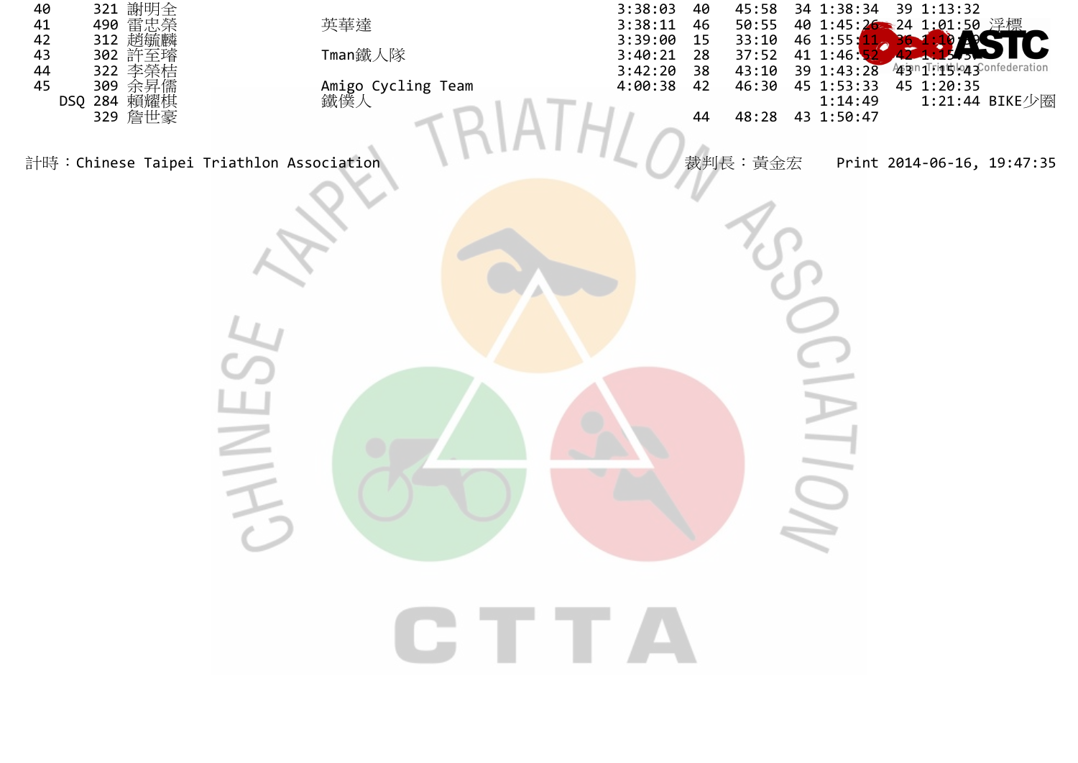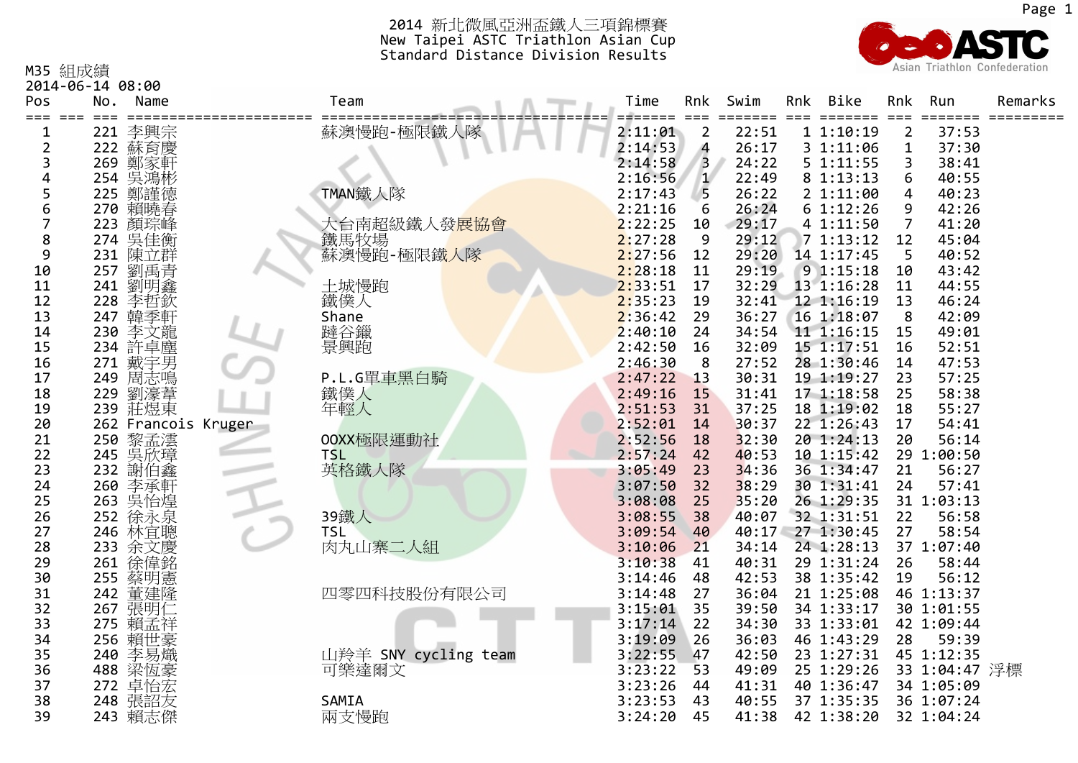

M35 組成績

2014‐06‐14 08:00

| Pos<br>$== =$ | No. | Name                          | Team                      | Time               | Rnk<br>$==$    | Swim           | Rnk | Bike                     | Rnk<br>$==$    | Run                 | Remarks |
|---------------|-----|-------------------------------|---------------------------|--------------------|----------------|----------------|-----|--------------------------|----------------|---------------------|---------|
| 1             | 221 | 李興宗                           | 蘇澳慢跑-極限鐵人隊                | 2:11:01            | $\overline{2}$ | 22:51          |     | 11:10:19                 | $\overline{2}$ | 37:53               |         |
| 2             |     | 222 蘇育慶                       |                           | 2:14:53            | 4              | 26:17          |     | 3 1:11:06                | $\mathbf 1$    | 37:30               |         |
| 3             |     | 269 鄭家軒                       |                           | 2:14:58            | 3              | 24:22          |     | 5 1:11:55                | 3              | 38:41               |         |
| 4             |     | 254 吳鴻彬                       |                           | 2:16:56            | $\mathbf{1}$   | 22:49          |     | 8 1:13:13                | 6              | 40:55               |         |
| 5             | 225 | 鄭謹德                           | TMAN鐵人隊                   | 2:17:43            | 5              | 26:22          |     | 21:11:00                 | $\overline{4}$ | 40:23               |         |
| 6             | 270 | 賴曉春                           |                           | 2:21:16            | 6              | 26:24          |     | 61:12:26                 | 9              | 42:26               |         |
| 7             |     | 223 顏琮峰                       | 大台南超級鐵人發 <mark>展協會</mark> | 2:22:25            | 10             | 29:17          |     | 4 1:11:50                | $\overline{7}$ | 41:20               |         |
| 8             |     | 274 吳佳衡                       | 鐵馬牧場                      | 2:27:28            | 9              | 29:12          |     | 71:13:12                 | 12             | 45:04               |         |
| 9             | 231 | 陳立群                           | 蘇澳慢跑-極限鐵人隊                | 2:27:56            | 12             | 29:20          |     | 14 1:17:45               | 5              | 40:52               |         |
| 10            | 257 | 劉禹青                           |                           | 2:28:18            | 11             | 29:19          |     | 91:15:18                 | 10             | 43:42               |         |
| 11            | 241 | 劉明鑫                           | 土城慢跑                      | 2:33:51            | 17             | 32:29          |     | 13 1:16:28               | 11             | 44:55               |         |
| 12            | 228 | 李哲欽                           | 鐵僕人                       | 2:35:23            | 19             | 32:41          |     | 12 1:16:19               | 13             | 46:24               |         |
| 13            | 247 | 韓季軒                           | Shane                     | 2:36:42            | 29             | 36:27          |     | 16 1:18:07               | 8              | 42:09               |         |
| 14            | 230 | 李文龍                           | 躂谷鑞                       | 2:40:10            | 24             | 34:54          |     | 11 1:16:15               | 15             | 49:01               |         |
| 15            |     | 234 許卓塵<br>271 戴宇男            | 景興跑                       | 2:42:50            | 16             | 32:09          |     | 15 1:17:51               | 16             | 52:51               |         |
| 16            |     |                               |                           | 2:46:30            | 8              | 27:52          |     | 28 1:30:46               | 14             | 47:53               |         |
| 17            | 249 | 周志鳴                           | P.L.G單車黑白騎                | 2:47:22            | 13             | 30:31          |     | 19 1:19:27               | 23             | 57:25               |         |
| 18            | 229 | 劉濠葦                           | 鐵僕人                       | 2:49:16            | 15             | 31:41          |     | 17 1:18:58               | 25             | 58:38               |         |
| 19            |     | 239 莊煜東                       | 年輕人                       | 2:51:53            | 31             | 37:25          |     | 18 1:19:02               | 18             | 55:27               |         |
| 20            |     | 262 Francois Kruger           |                           | 2:52:01            | 14             | 30:37          |     | 22 1:26:43               | 17             | 54:41               |         |
| 21            | 250 | 黎孟澐                           | 00XX極限運動社                 | 2:52:56            | 18             | 32:30          |     | 20 1:24:13               | 20             | 56:14               |         |
| 22            |     | 245 吳欣璋                       | <b>TSL</b>                | 2:57:24            | 42             | 40:53          |     | 10 1:15:42               |                | 29 1:00:50          |         |
| 23            |     | 232 謝伯鑫                       | 英格鐵人隊                     | 3:05:49            | 23             | 34:36          |     | 36 1:34:47               | 21             | 56:27               |         |
| 24            |     | 260 李承軒<br>263 吳怡煌<br>252 徐永泉 |                           | 3:07:50            | 32             | 38:29          |     | 30 1:31:41               | 24             | 57:41               |         |
| 25            |     |                               |                           | 3:08:08            | 25             | 35:20          |     | 26 1:29:35               |                | 31 1:03:13          |         |
| 26            |     |                               | 39鐵人                      | 3:08:55            | 38             | 40:07          |     | 32 1:31:51               | 22             | 56:58               |         |
| 27            |     | 246 林宜聰                       | <b>TSL</b>                | 3:09:54            | 40             | 40:17          |     | 27 1:30:45               | 27             | 58:54               |         |
| 28            | 233 | 余文慶                           | 肉丸山寨二人組                   | 3:10:06            | 21<br>41       | 34:14<br>40:31 |     | 24 1:28:13               | 26             | 37 1:07:40<br>58:44 |         |
| 29<br>30      | 261 | 徐偉銘                           |                           | 3:10:38<br>3:14:46 | 48             | 42:53          |     | 29 1:31:24<br>38 1:35:42 | 19             | 56:12               |         |
| 31            |     | 255 蔡明憲<br>242 董建隆            | 四零四科技股份有限公司               | 3:14:48            | 27             | 36:04          |     | 21 1:25:08               |                | 46 1:13:37          |         |
| 32            |     | 267 張明仁                       |                           | 3:15:01            | 35             | 39:50          |     | 34 1:33:17               |                | 30 1:01:55          |         |
| 33            | 275 | 賴孟祥                           |                           | 3:17:14            | 22             | 34:30          |     | 33 1:33:01               |                | 42 1:09:44          |         |
| 34            | 256 | 賴世豪                           |                           | 3:19:09            | 26             | 36:03          |     | 46 1:43:29               | 28             | 59:39               |         |
| 35            | 240 | 李易熾                           | 山羚羊 SNY cycling team      | 3:22:55            | 47             | 42:50          |     | 23 1:27:31               |                | 45 1:12:35          |         |
| 36            |     | 488 梁恆豪                       | 可樂達爾文                     | 3:23:22            | 53             | 49:09          |     | 25 1:29:26               |                | 33 1:04:47 浮標       |         |
| 37            | 272 | 卓怡宏                           |                           | 3:23:26            | 44             | 41:31          |     | 40 1:36:47               |                | 34 1:05:09          |         |
| 38            |     | 248 張詔友                       | SAMIA                     | 3:23:53            | 43             | 40:55          |     | 37 1:35:35               |                | 36 1:07:24          |         |
| 39            |     | 243 賴志傑                       | 兩支慢跑                      | 3:24:20            | 45             | 41:38          |     | 42 1:38:20               |                | 32 1:04:24          |         |
|               |     |                               |                           |                    |                |                |     |                          |                |                     |         |

Page 1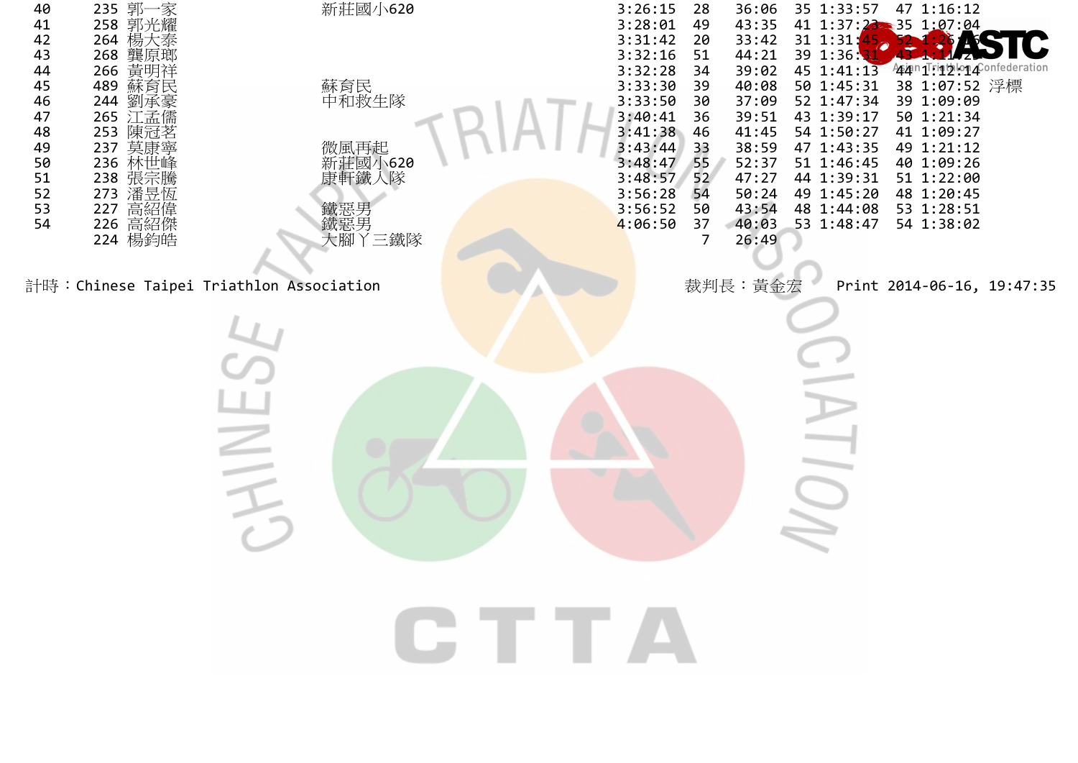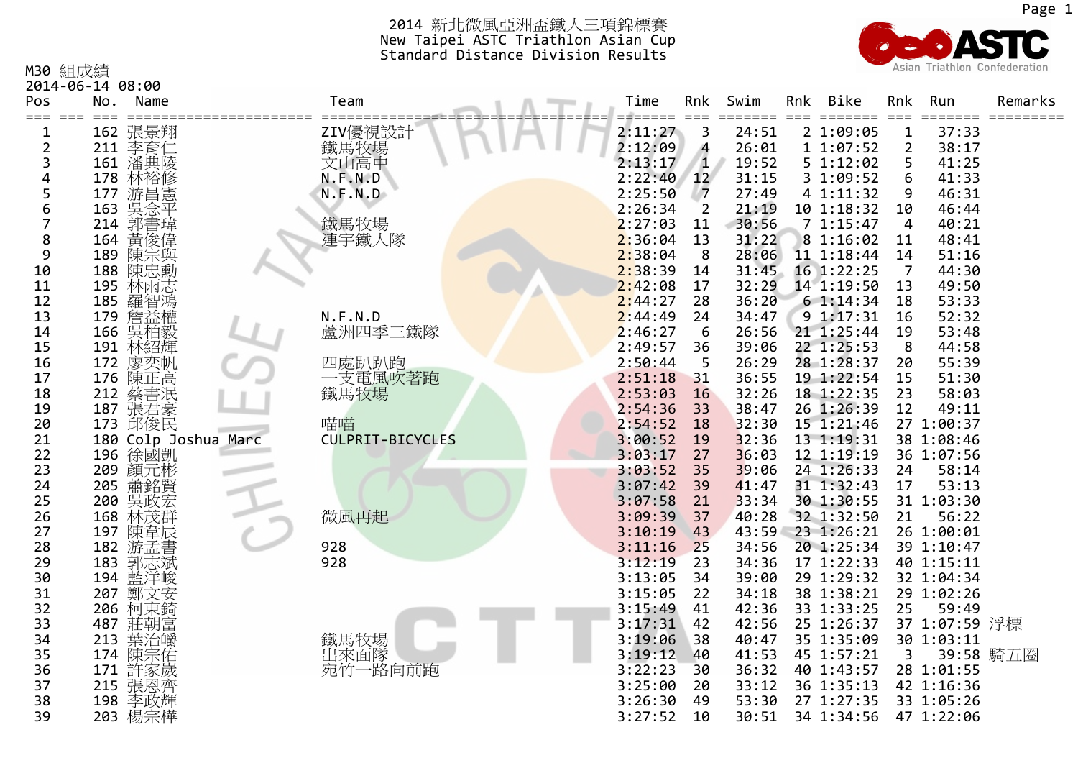

| M30 組成績        | 2014-06-14 08:00 |                             |                         |  |                    |                |                |               |                          |                | Asian Triathlon Confederation |           |
|----------------|------------------|-----------------------------|-------------------------|--|--------------------|----------------|----------------|---------------|--------------------------|----------------|-------------------------------|-----------|
| Pos<br>=== === | No.<br>$==$      | Name<br>=================== | Team                    |  | Time<br>=======    | Rnk<br>$==$    | Swim<br>=====  | Rnk<br>$= 22$ | Bike<br>=======          | Rnk<br>$==$    | Run<br>======                 | Remarks   |
| 1              | 162              | 張景翔                         |                         |  | 2:11:27            | 3              | 24:51          |               | 2 1:09:05                | $\mathbf{1}$   | 37:33                         |           |
| 2              |                  | 211 李育仁                     | ZIV優視設計<br>鐵馬牧場<br>文山高中 |  | 2:12:09            | 4              | 26:01          |               | 1 1:07:52                | $\overline{2}$ | 38:17                         |           |
| 3              |                  | 161 潘典陵                     |                         |  | 2:13:17            | $\mathbf{1}$   | 19:52          |               | 5 1:12:02                | 5              | 41:25                         |           |
| 4              | 178              | 林裕修                         | N.F.N.D                 |  | 2:22:40            | 12             | 31:15          |               | 3 1:09:52                | 6              | 41:33                         |           |
| 5              | 177              | 游昌憲                         | N.F.N.D                 |  | 2:25:50            | $\overline{7}$ | 27:49          |               | 4 1:11:32                | 9              | 46:31                         |           |
| 6              | 163              | 吳念平                         |                         |  | 2:26:34            | $\overline{2}$ | 21:19          |               | 10 1:18:32               | 10             | 46:44                         |           |
| 7              | 214              | 郭書瑋                         | 鐵馬牧場                    |  | 2:27:03            | 11             | 30:56          |               | 71:15:47                 | 4              | 40:21                         |           |
| 8              | 164              | 黃俊偉                         | 連宇鐵人隊                   |  | 2:36:04            | 13             | 31:22          |               | 8 1:16:02                | 11             | 48:41                         |           |
| 9              | 189              | 陳宗與                         |                         |  | 2:38:04            | 8              | 28:06          |               | 11 1:18:44               | 14             | 51:16                         |           |
| 10             |                  | 188 陳忠勳                     |                         |  | 2:38:39            | 14             | 31:45          |               | 16 1:22:25               | 7              | 44:30                         |           |
| 11             | 195              | 林雨志<br>羅智鴻                  |                         |  | 2:42:08            | 17             | 32:29          |               | 14 1:19:50               | 13             | 49:50                         |           |
| 12             | 185              |                             |                         |  | 2:44:27            | 28             | 36:20          |               | 61:14:34                 | 18             | 53:33                         |           |
| 13             |                  | 179 詹益權                     | N.F.N.D                 |  | 2:44:49            | 24             | 34:47          |               | 9 1:17:31                | 16             | 52:32                         |           |
| 14             |                  | 166 吳柏毅                     | 蘆洲四季三鐵隊                 |  | 2:46:27            | 6              | 26:56          |               | 21 1:25:44               | 19             | 53:48                         |           |
| 15             |                  | 191 林紹輝<br>172 廖奕帆          |                         |  | 2:49:57            | 36             | 39:06          |               | 22 1:25:53               | 8              | 44:58                         |           |
| 16             |                  |                             | 四處趴趴跑                   |  | 2:50:44            | 5              | 26:29          |               | 28 1:28:37               | 20             | 55:39                         |           |
| 17             |                  | 176 陳正高                     | 一支電風吹著跑                 |  | 2:51:18            | 31             | 36:55          |               | 19 1:22:54               | 15             | 51:30                         |           |
| 18             |                  | 212 蔡書泯                     | 鐵馬牧場                    |  | 2:53:03            | 16             | 32:26          |               | 18 1:22:35               | 23             | 58:03                         |           |
| 19             |                  | 187 張君豪<br>173 邱俊民          |                         |  | 2:54:36            | 33             | 38:47          |               | 26 1:26:39               | 12             | 49:11                         |           |
| 20             |                  |                             | 喵喵                      |  | 2:54:52            | 18             | 32:30          |               | 15 1:21:46               |                | 27 1:00:37                    |           |
| 21             |                  | 180 Colp Joshua Marc        | <b>CULPRIT-BICYCLES</b> |  | 3:00:52            | 19             | 32:36          |               | 13 1:19:31               |                | 38 1:08:46                    |           |
| 22             |                  | 196 徐國凱                     |                         |  | 3:03:17            | 27             | 36:03          |               | 12 1:19:19               |                | 36 1:07:56                    |           |
| 23             | 209              | 顏元彬                         |                         |  | 3:03:52            | 35             | 39:06          |               | 24 1:26:33               | 24             | 58:14                         |           |
| 24             | 205              | 蕭銘賢                         |                         |  | 3:07:42            | 39             | 41:47          |               | 31 1:32:43               | 17             | 53:13                         |           |
| 25             | 200              | 吳政宏                         |                         |  | 3:07:58            | 21             | 33:34          |               | 30 1:30:55               |                | 31 1:03:30                    |           |
| 26             | 168              | 林茂群                         | 微風再起                    |  | 3:09:39            | 37             | 40:28          |               | 32 1:32:50               | 21             | 56:22                         |           |
| 27             | 197              | 陳韋辰                         |                         |  | 3:10:19            | 43             | 43:59          |               | 23 1:26:21               |                | 26 1:00:01                    |           |
| 28             | 182              | 游孟書                         | 928<br>928              |  | 3:11:16            | 25             | 34:56          |               | 20 1:25:34               |                | 39 1:10:47                    |           |
| 29<br>30       | 183              | 郭志斌                         |                         |  | 3:12:19<br>3:13:05 | 23<br>34       | 34:36<br>39:00 |               | 17 1:22:33<br>29 1:29:32 |                | 40 1:15:11<br>32 1:04:34      |           |
| 31             | 194<br>207       | 藍洋峻<br>鄭文安                  |                         |  | 3:15:05            | 22             | 34:18          |               | 38 1:38:21               |                | 29 1:02:26                    |           |
| 32             | 206              | 柯東錡                         |                         |  | 3:15:49            | 41             | 42:36          |               | 33 1:33:25               | 25             | 59:49                         |           |
| 33             | 487              |                             |                         |  | 3:17:31            | 42             | 42:56          |               | 25 1:26:37               |                | 37 1:07:59 浮標                 |           |
| 34             | 213              | 莊朝富                         |                         |  | 3:19:06            | 38             | 40:47          |               | 35 1:35:09               |                | 30 1:03:11                    |           |
| 35             |                  | 葉治皭<br>174 陳宗佑              |                         |  | 3:19:12            | 40             | 41:53          |               | 45 1:57:21               | 3              |                               | 39:58 騎五圈 |
| 36             | 171              |                             | 鐵馬牧場<br>出來面隊<br>宛竹一路向前跑 |  | 3:22:23            | 30             | 36:32          |               | 40 1:43:57               |                | 28 1:01:55                    |           |
| 37             |                  | 許家崴<br>215 張恩齊              |                         |  | 3:25:00            | 20             | 33:12          |               | 36 1:35:13               |                | 42 1:16:36                    |           |
| 38             | 198              | 李政輝                         |                         |  | 3:26:30            | 49             | 53:30          |               | 27 1:27:35               |                | 33 1:05:26                    |           |
| 39             |                  | 203 楊宗樺                     |                         |  | 3:27:52            | 10             | 30:51          |               | 34 1:34:56               |                | 47 1:22:06                    |           |
|                |                  |                             |                         |  |                    |                |                |               |                          |                |                               |           |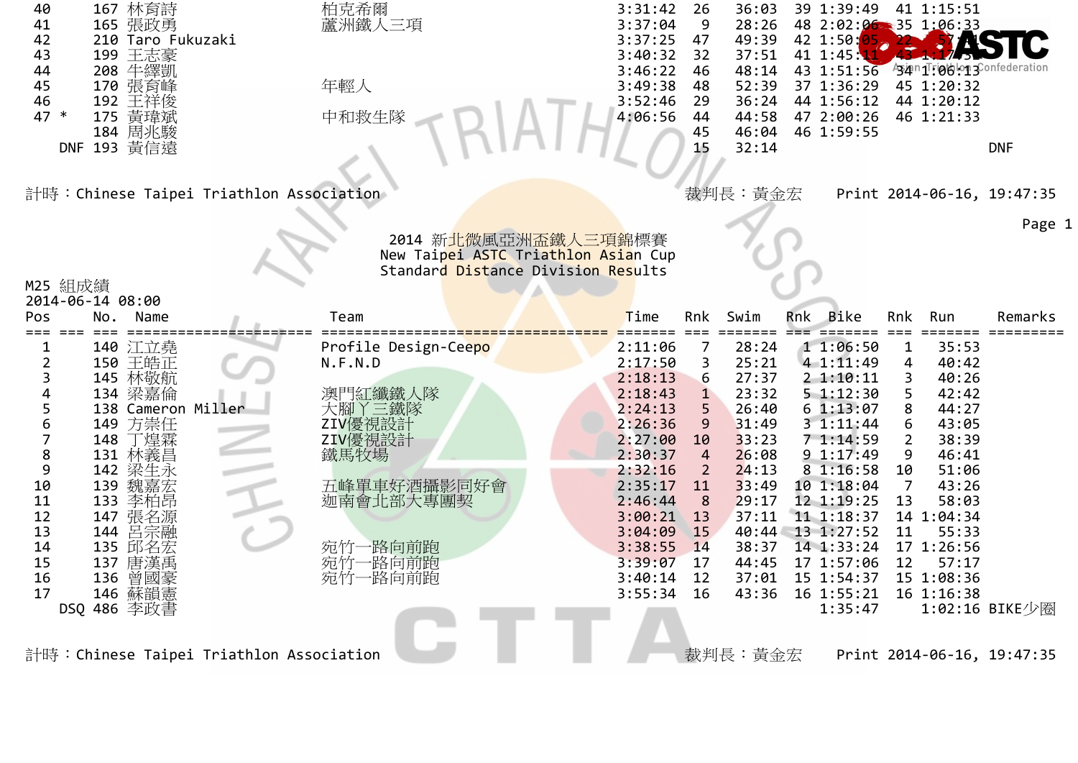| 40<br>167 林育詩<br>165 張政勇<br>41<br>42<br>210 Taro Fukuzaki<br>199 王志豪<br>43<br>208 牛繹凱<br>44<br>45<br>170 張育峰<br>46<br>192 王祥俊<br>175 黃瑋斌<br>47 *<br>184 周兆駿<br>DNF 193 黃信遠<br>計時:Chinese Taipei Triathlon Association | 柏克希爾<br>蘆洲鐵人三項<br>年輕人<br>中和救生隊                                            | 3:31:42<br>36:03<br>26<br>3:37:04<br>9<br>28:26<br>3:37:25<br>49:39<br>47<br>37:51<br>3:40:32<br>32<br>3:46:22<br>48:14<br>46<br>3:49:38<br>52:39<br>48<br>3:52:46<br>29<br>36:24<br>44:58<br>4:06:56<br>44<br>46:04<br>45<br>15<br>32:14<br>裁判長:黃金宏 | 39 1:39:49<br>41 1:15:51<br>48 2:02:06 35 1:06:33<br>42 1:50:05<br>41 1:45:1<br><sup>994n1</sup> :06:13<br>43 1:51:56<br>37 1:36:29<br>45 1:20:32<br>44 1:56:12<br>44 1:20:12<br>47 2:00:26<br>46 1:21:33<br>46 1:59:55<br><b>DNF</b><br>Print 2014-06-16, 19:47:35 | Page |
|-----------------------------------------------------------------------------------------------------------------------------------------------------------------------------------------------------------------------|---------------------------------------------------------------------------|------------------------------------------------------------------------------------------------------------------------------------------------------------------------------------------------------------------------------------------------------|---------------------------------------------------------------------------------------------------------------------------------------------------------------------------------------------------------------------------------------------------------------------|------|
|                                                                                                                                                                                                                       | 2014 新 <mark>北微風亞洲盃鐵人三項錦</mark> 標賽<br>New Taipei ASTC Triathlon Asian Cup |                                                                                                                                                                                                                                                      |                                                                                                                                                                                                                                                                     |      |
| M25 組成績                                                                                                                                                                                                               | Standard Distance Division Results                                        |                                                                                                                                                                                                                                                      |                                                                                                                                                                                                                                                                     |      |
| 2014-06-14 08:00                                                                                                                                                                                                      |                                                                           |                                                                                                                                                                                                                                                      |                                                                                                                                                                                                                                                                     |      |
| Pos<br>No.<br>Name<br>$== =$                                                                                                                                                                                          | Team                                                                      | Time<br>Swim<br>Rnk                                                                                                                                                                                                                                  | Rnk Bike<br>Remarks<br>Rnk<br>Run<br>$===$<br>$=$ $=$ $=$ $=$ $=$                                                                                                                                                                                                   |      |
| 140 江立堯<br>1                                                                                                                                                                                                          | Profile Design-Ceepo                                                      | 2:11:06<br>28:24<br>7                                                                                                                                                                                                                                | 11:06:50<br>35:53<br>$\mathbf{1}$                                                                                                                                                                                                                                   |      |
| 150 王皓正<br>$\overline{2}$<br>3                                                                                                                                                                                        | N.F.N.D                                                                   | 2:17:50<br>25:21<br>3<br>27:37<br>2:18:13<br>6                                                                                                                                                                                                       | 4 1:11:49<br>40:42<br>4<br>40:26<br>21:10:11<br>3                                                                                                                                                                                                                   |      |
| 145 林敬航<br>4<br>134 梁嘉倫                                                                                                                                                                                               | 澳門紅纖鐵人隊                                                                   | 2:18:43<br>23:32<br>$\mathbf{1}$                                                                                                                                                                                                                     | 51:12:30<br>5<br>42:42                                                                                                                                                                                                                                              |      |
| 5<br>138 Cameron Miller                                                                                                                                                                                               | 大腳丫三鐵隊                                                                    | 2:24:13<br>26:40<br>5                                                                                                                                                                                                                                | 61:13:07<br>44:27<br>8                                                                                                                                                                                                                                              |      |
| 6<br>方崇任<br>149                                                                                                                                                                                                       | ZIV優視設計                                                                   | 2:26:36<br>9<br>31:49                                                                                                                                                                                                                                | 31:11:44<br>43:05<br>6                                                                                                                                                                                                                                              |      |
| $\overline{7}$<br>丁煌霖<br>148<br>$\bf 8$<br>131 林義昌                                                                                                                                                                    | ZIV優視設計<br>鐵馬牧場                                                           | 2:27:00<br>33:23<br>10<br>2:30:37<br>$\overline{4}$<br>26:08                                                                                                                                                                                         | 38:39<br>71:14:59<br>$\overline{2}$<br>9 1:17:49<br>46:41<br>9                                                                                                                                                                                                      |      |
| 9<br>142 梁生永                                                                                                                                                                                                          |                                                                           | 2:32:16<br>24:13<br>2                                                                                                                                                                                                                                | 8 1:16:58<br>51:06<br>10                                                                                                                                                                                                                                            |      |
| 10<br>139 魏嘉宏                                                                                                                                                                                                         | 五峰單車好酒攝影同好會                                                               | 2:35:17<br>33:49<br>11                                                                                                                                                                                                                               | 43:26<br>10 1:18:04<br>$\overline{7}$                                                                                                                                                                                                                               |      |
| 11<br>133 李柏昂                                                                                                                                                                                                         | 迦南會北部大專團契                                                                 | 29:17<br>2:46:44<br>8                                                                                                                                                                                                                                | 12 1:19:25<br>13<br>58:03                                                                                                                                                                                                                                           |      |
| 12<br>147 張名源<br>13<br>144                                                                                                                                                                                            |                                                                           | 37:11<br>3:00:21<br>13<br>3:04:09<br>15                                                                                                                                                                                                              | 11 1:18:37<br>14 1:04:34<br>40:44 13 1:27:52<br>11<br>55:33                                                                                                                                                                                                         |      |
| 呂宗融<br>14<br>135 邱名宏                                                                                                                                                                                                  | ·路向前跑<br>宛竹-                                                              | 3:38:55<br>14<br>38:37                                                                                                                                                                                                                               | 14 1:33:24<br>17 1:26:56                                                                                                                                                                                                                                            |      |
| 15<br>137 唐漢禹                                                                                                                                                                                                         | 一路向前跑<br>宛竹-                                                              | 3:39:07<br>44:45<br>17                                                                                                                                                                                                                               | 17 1:57:06<br>12<br>57:17                                                                                                                                                                                                                                           |      |
| 16<br>136<br>曾國豪                                                                                                                                                                                                      | 宛竹一路向前跑                                                                   | 3:40:14<br>12<br>37:01                                                                                                                                                                                                                               | 15 1:54:37<br>15 1:08:36                                                                                                                                                                                                                                            |      |
| 17<br>146 蘇韻憲                                                                                                                                                                                                         |                                                                           | 16<br>3:55:34<br>43:36                                                                                                                                                                                                                               | 16 1:55:21<br>16 1:16:38                                                                                                                                                                                                                                            |      |
| DSQ 486 李政書                                                                                                                                                                                                           |                                                                           |                                                                                                                                                                                                                                                      | 1:35:47<br>1:02:16 BIKE少圈                                                                                                                                                                                                                                           |      |
|                                                                                                                                                                                                                       |                                                                           |                                                                                                                                                                                                                                                      |                                                                                                                                                                                                                                                                     |      |
| 計時:Chinese Taipei Triathlon Association                                                                                                                                                                               |                                                                           | 裁判長:黃金宏                                                                                                                                                                                                                                              | Print 2014-06-16, 19:47:35                                                                                                                                                                                                                                          |      |

1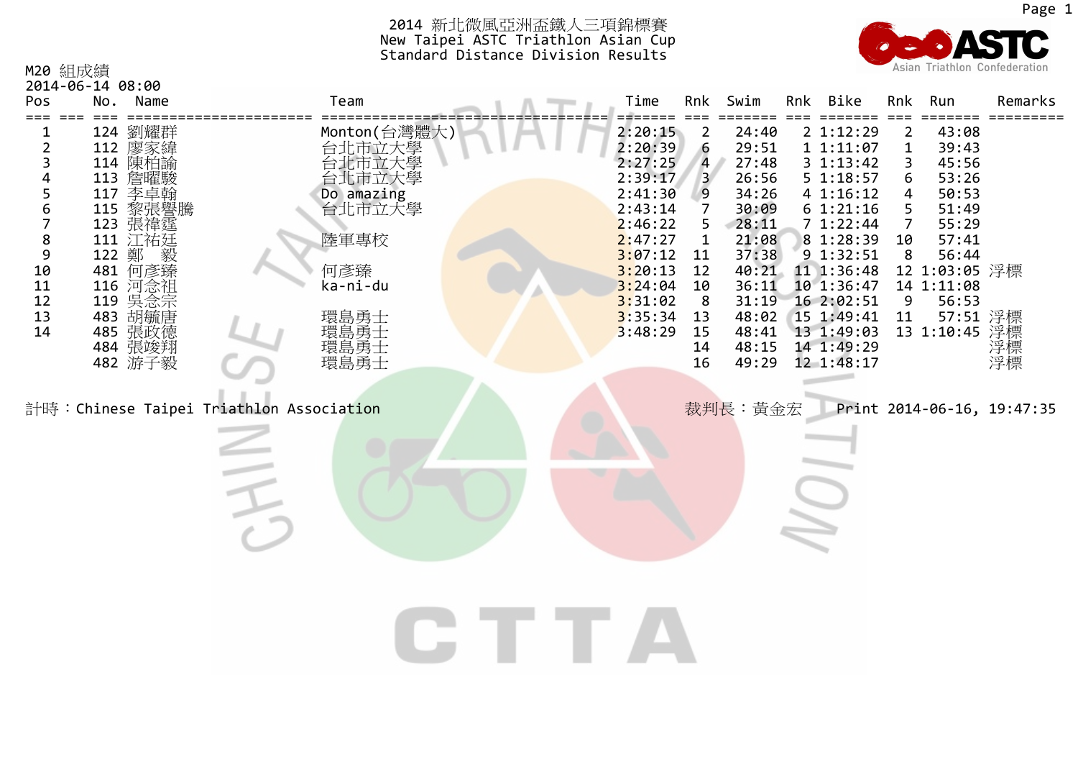16 49:29 12 1:48:17



| M20 組成績 | 2014-06-14 08:00 |              |         |                |       |     |                |     |               | Asian Triathlon Confederation |
|---------|------------------|--------------|---------|----------------|-------|-----|----------------|-----|---------------|-------------------------------|
| Pos     | No.<br>Name      | Team         | Time    | Rnk            | Swim  | Rnk | Bike           | Rnk | Run           | Remarks                       |
|         | 124 劉耀群          | Monton(台灣體大) | 2:20:15 | 2              | 24:40 |     | 2 1:12:29      | 2   | 43:08         |                               |
|         | 112 廖家緯          | 台北市立大學       | 2:20:39 | 6              | 29:51 |     | 11:11:07       |     | 39:43         |                               |
|         | 114 陳柏諭          | 台北市立大學       | 2:27:25 | $\overline{4}$ | 27:48 |     | $3 \; 1:13:42$ | 3   | 45:56         |                               |
| 4       | 113 詹曜駿          | 台北市立大學       | 2:39:17 | $\mathbf{3}$   | 26:56 |     | 5 1:18:57      | 6   | 53:26         |                               |
|         | 李卓翰<br>117       | Do amazing   | 2:41:30 | 9              | 34:26 |     | 4 1:16:12      | 4   | 50:53         |                               |
| 6       | 115 黎張譽騰         | 台北市立大學       | 2:43:14 |                | 30:09 |     | 6 1:21:16      | 5   | 51:49         |                               |
|         | 123 張禕霆          |              | 2:46:22 | 5.             | 28:11 |     | 71:22:44       |     | 55:29         |                               |
| 8       | 111 江祐廷          | 陸軍專校         | 2:47:27 |                | 21:08 |     | 8 1:28:39      | 10  | 57:41         |                               |
| 9       | 122 鄭<br>毅       |              | 3:07:12 | -11            | 37:38 |     | 9 1:32:51      | 8   | 56:44         |                               |
| 10      | 何彥臻<br>481       | 何彥臻          | 3:20:13 | 12             | 40:21 |     | 11 1:36:48     |     | 12 1:03:05 浮標 |                               |
| 11      | 116 河念祖          | ka-ni-du     | 3:24:04 | 10             | 36:11 |     | 10 1:36:47     |     | 14 1:11:08    |                               |
| 12      | 119 吳念宗          |              | 3:31:02 | -8             | 31:19 |     | 16 2:02:51     | 9   | 56:53         |                               |
| 13      | 483 胡毓唐          | 環島勇士         | 3:35:34 | 13             | 48:02 |     | $15$ 1:49:41   | 11  | 57:51 浮標      |                               |
| 14      | 485 張政德          | 環島勇士         | 3:48:29 | 15             | 48:41 |     | 13 1:49:03     |     | 13 1:10:45    | 浮標                            |
|         | 484 張竣翔          | 環島勇士<br>環島勇士 |         | 14             | 48:15 |     | 14 1:49:29     |     |               | 浮標<br>浮標                      |
|         | 482 游子毅          |              |         | 16             | 49:29 |     | 12 1:48:17     |     |               |                               |

計時:Chinese Taipei Triathlon Association **Nation Triathlon Association** Triata Triata and Triata Triata Triathlon

張竣翔 環島勇士 <sup>14</sup> 48:15 <sup>14</sup> 1:49:29 浮標

CTTA